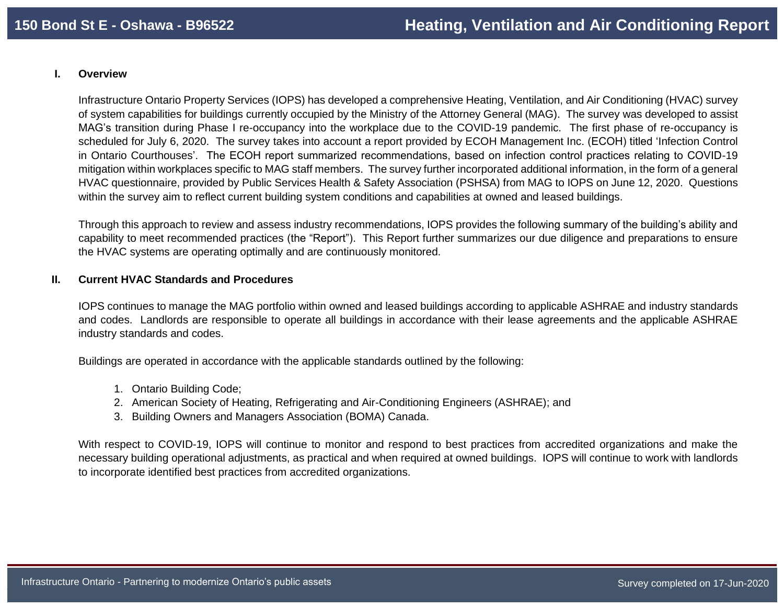## **I. Overview**

Infrastructure Ontario Property Services (IOPS) has developed a comprehensive Heating, Ventilation, and Air Conditioning (HVAC) survey of system capabilities for buildings currently occupied by the Ministry of the Attorney General (MAG). The survey was developed to assist MAG's transition during Phase I re-occupancy into the workplace due to the COVID-19 pandemic. The first phase of re-occupancy is scheduled for July 6, 2020. The survey takes into account a report provided by ECOH Management Inc. (ECOH) titled 'Infection Control in Ontario Courthouses'. The ECOH report summarized recommendations, based on infection control practices relating to COVID-19 mitigation within workplaces specific to MAG staff members. The survey further incorporated additional information, in the form of a general HVAC questionnaire, provided by Public Services Health & Safety Association (PSHSA) from MAG to IOPS on June 12, 2020. Questions within the survey aim to reflect current building system conditions and capabilities at owned and leased buildings.

Through this approach to review and assess industry recommendations, IOPS provides the following summary of the building's ability and capability to meet recommended practices (the "Report"). This Report further summarizes our due diligence and preparations to ensure the HVAC systems are operating optimally and are continuously monitored.

## **II. Current HVAC Standards and Procedures**

IOPS continues to manage the MAG portfolio within owned and leased buildings according to applicable ASHRAE and industry standards and codes. Landlords are responsible to operate all buildings in accordance with their lease agreements and the applicable ASHRAE industry standards and codes.

Buildings are operated in accordance with the applicable standards outlined by the following:

- 1. Ontario Building Code;
- 2. American Society of Heating, Refrigerating and Air-Conditioning Engineers (ASHRAE); and
- 3. Building Owners and Managers Association (BOMA) Canada.

With respect to COVID-19, IOPS will continue to monitor and respond to best practices from accredited organizations and make the necessary building operational adjustments, as practical and when required at owned buildings. IOPS will continue to work with landlords to incorporate identified best practices from accredited organizations.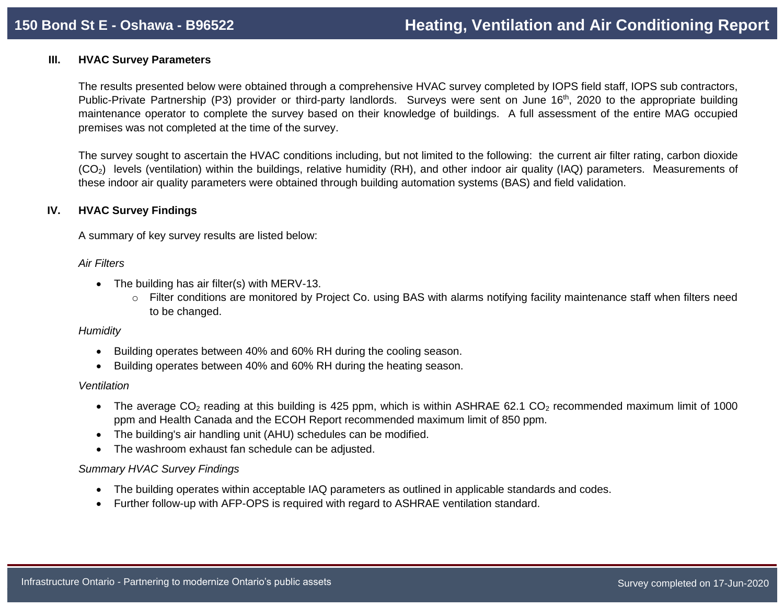## **III. HVAC Survey Parameters**

The results presented below were obtained through a comprehensive HVAC survey completed by IOPS field staff, IOPS sub contractors, Public-Private Partnership (P3) provider or third-party landlords. Surveys were sent on June 16<sup>th</sup>, 2020 to the appropriate building maintenance operator to complete the survey based on their knowledge of buildings. A full assessment of the entire MAG occupied premises was not completed at the time of the survey.

The survey sought to ascertain the HVAC conditions including, but not limited to the following: the current air filter rating, carbon dioxide (CO2) levels (ventilation) within the buildings, relative humidity (RH), and other indoor air quality (IAQ) parameters. Measurements of these indoor air quality parameters were obtained through building automation systems (BAS) and field validation.

# **IV. HVAC Survey Findings**

A summary of key survey results are listed below:

## *Air Filters*

- The building has air filter(s) with MERV-13.
	- o Filter conditions are monitored by Project Co. using BAS with alarms notifying facility maintenance staff when filters need to be changed.

## *Humidity*

- Building operates between 40% and 60% RH during the cooling season.
- Building operates between 40% and 60% RH during the heating season.

## *Ventilation*

- The average  $CO<sub>2</sub>$  reading at this building is 425 ppm, which is within ASHRAE 62.1  $CO<sub>2</sub>$  recommended maximum limit of 1000 ppm and Health Canada and the ECOH Report recommended maximum limit of 850 ppm.
- The building's air handling unit (AHU) schedules can be modified.
- The washroom exhaust fan schedule can be adjusted.

# *Summary HVAC Survey Findings*

- The building operates within acceptable IAQ parameters as outlined in applicable standards and codes.
- Further follow-up with AFP-OPS is required with regard to ASHRAE ventilation standard.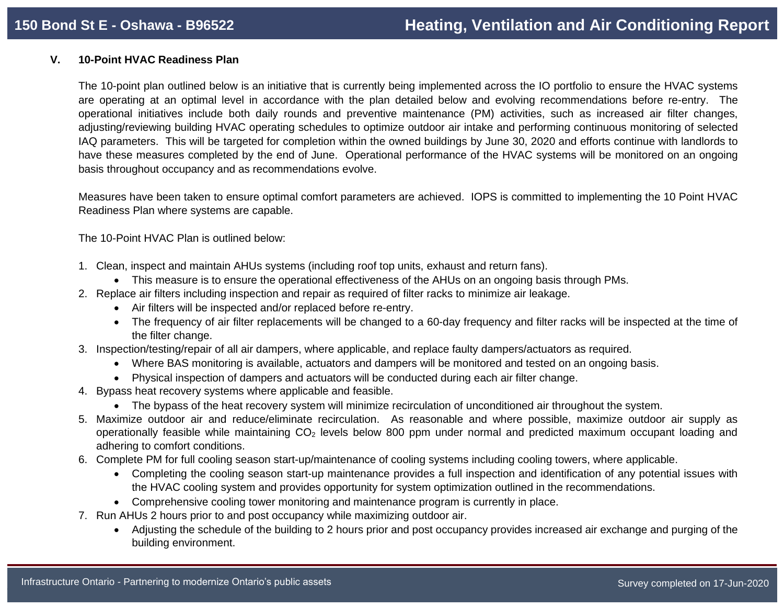# **V. 10-Point HVAC Readiness Plan**

The 10-point plan outlined below is an initiative that is currently being implemented across the IO portfolio to ensure the HVAC systems are operating at an optimal level in accordance with the plan detailed below and evolving recommendations before re-entry. The operational initiatives include both daily rounds and preventive maintenance (PM) activities, such as increased air filter changes, adjusting/reviewing building HVAC operating schedules to optimize outdoor air intake and performing continuous monitoring of selected IAQ parameters. This will be targeted for completion within the owned buildings by June 30, 2020 and efforts continue with landlords to have these measures completed by the end of June. Operational performance of the HVAC systems will be monitored on an ongoing basis throughout occupancy and as recommendations evolve.

Measures have been taken to ensure optimal comfort parameters are achieved. IOPS is committed to implementing the 10 Point HVAC Readiness Plan where systems are capable.

The 10-Point HVAC Plan is outlined below:

- 1. Clean, inspect and maintain AHUs systems (including roof top units, exhaust and return fans).
	- This measure is to ensure the operational effectiveness of the AHUs on an ongoing basis through PMs.
- 2. Replace air filters including inspection and repair as required of filter racks to minimize air leakage.
	- Air filters will be inspected and/or replaced before re-entry.
	- The frequency of air filter replacements will be changed to a 60-day frequency and filter racks will be inspected at the time of the filter change.
- 3. Inspection/testing/repair of all air dampers, where applicable, and replace faulty dampers/actuators as required.
	- Where BAS monitoring is available, actuators and dampers will be monitored and tested on an ongoing basis.
	- Physical inspection of dampers and actuators will be conducted during each air filter change.
- 4. Bypass heat recovery systems where applicable and feasible.
	- The bypass of the heat recovery system will minimize recirculation of unconditioned air throughout the system.
- 5. Maximize outdoor air and reduce/eliminate recirculation. As reasonable and where possible, maximize outdoor air supply as operationally feasible while maintaining CO<sub>2</sub> levels below 800 ppm under normal and predicted maximum occupant loading and adhering to comfort conditions.
- 6. Complete PM for full cooling season start-up/maintenance of cooling systems including cooling towers, where applicable.
	- Completing the cooling season start-up maintenance provides a full inspection and identification of any potential issues with the HVAC cooling system and provides opportunity for system optimization outlined in the recommendations.
	- Comprehensive cooling tower monitoring and maintenance program is currently in place.
- 7. Run AHUs 2 hours prior to and post occupancy while maximizing outdoor air.
	- Adjusting the schedule of the building to 2 hours prior and post occupancy provides increased air exchange and purging of the building environment.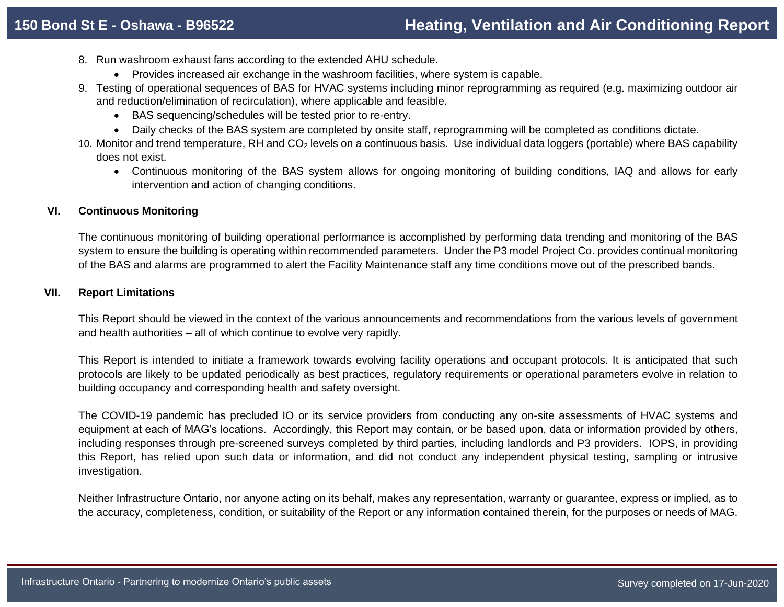- 8. Run washroom exhaust fans according to the extended AHU schedule.
	- Provides increased air exchange in the washroom facilities, where system is capable.
- 9. Testing of operational sequences of BAS for HVAC systems including minor reprogramming as required (e.g. maximizing outdoor air and reduction/elimination of recirculation), where applicable and feasible.
	- BAS sequencing/schedules will be tested prior to re-entry.
	- Daily checks of the BAS system are completed by onsite staff, reprogramming will be completed as conditions dictate.
- 10. Monitor and trend temperature, RH and CO<sup>2</sup> levels on a continuous basis. Use individual data loggers (portable) where BAS capability does not exist.
	- Continuous monitoring of the BAS system allows for ongoing monitoring of building conditions, IAQ and allows for early intervention and action of changing conditions.

## **VI. Continuous Monitoring**

The continuous monitoring of building operational performance is accomplished by performing data trending and monitoring of the BAS system to ensure the building is operating within recommended parameters. Under the P3 model Project Co. provides continual monitoring of the BAS and alarms are programmed to alert the Facility Maintenance staff any time conditions move out of the prescribed bands.

## **VII. Report Limitations**

This Report should be viewed in the context of the various announcements and recommendations from the various levels of government and health authorities – all of which continue to evolve very rapidly.

This Report is intended to initiate a framework towards evolving facility operations and occupant protocols. It is anticipated that such protocols are likely to be updated periodically as best practices, regulatory requirements or operational parameters evolve in relation to building occupancy and corresponding health and safety oversight.

The COVID-19 pandemic has precluded IO or its service providers from conducting any on-site assessments of HVAC systems and equipment at each of MAG's locations. Accordingly, this Report may contain, or be based upon, data or information provided by others, including responses through pre-screened surveys completed by third parties, including landlords and P3 providers. IOPS, in providing this Report, has relied upon such data or information, and did not conduct any independent physical testing, sampling or intrusive investigation.

Neither Infrastructure Ontario, nor anyone acting on its behalf, makes any representation, warranty or guarantee, express or implied, as to the accuracy, completeness, condition, or suitability of the Report or any information contained therein, for the purposes or needs of MAG.